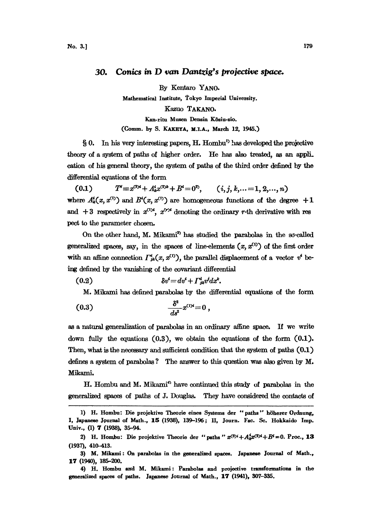## 30. Conics in D van Dantzig's proiective space.

By Kentaro YANO. Mathematical Institute, Tokyo Imperial University. Kazuo TAKANO. Kan-ritu Musen Densin Kôsiu-sio. (Comm. by S. KAKEYA, M.I.A., March 12, 1945.)

 $\S 0$ . In his very interesting papers, H. Hombu<sup>t)</sup> has developed the projective theory of a system of paths of higher order. He has also treated, as an appli. cation of his general theory, the system of paths of the third order defined by the differential equations of the form

 $(0.1)$  $T' \equiv x^{(3)4} + A'_k x^{(2)k} + B^4 = 0^2,$   $(i, j, k, ... = 1, 2, ..., n)$ where  $A_k^i(x, x^{(1)})$  and  $B^i(x, x^{(1)})$  are homogeneous functions of the degree  $+1$ and  $+3$  respectively in  $x^{(1)'}$ ,  $x^{(r)*}$  denoting the ordinary r-th derivative with res pect to the parameter chosen.

On the other hand, M. Mikami<sup>3</sup> has studied the parabolas in the so-called generalized spaces, say, in the spaces of line-elements  $(x, x^{(1)})$  of the first order with an affine connection  $\Gamma^i_{jk}(x, x^{(1)})$ , the parallel displacement of a vector  $v^i$  being defined by the vanishing of the covariant differential

$$
(0.2) \t\t\t\t\t\t\delta v' = dv' + \Gamma^i_{jk} v^j dx^k.
$$

M. Mikami has defined parabolas by the differential equations of the form

(0.3) de

as a natural generalization of parabolas in an ordinary affine space. If we write down fully the equations (0.3), we obtain the equations of the form (0.1). Then, what is the necessary and sufficient condition that the system of paths  $(0.1)$ defines a system of parabolas ? The answer to this question was also given by M. Mikam:

H. Hombu and M. Mikami" have continued ths study of parabolas in the generalized spaces of paths of J. Douglas. They have considered the contacts of

<sup>1)</sup> H. Hombu: Die projektive Theorie eines Systems der "paths" höherer Ordnung, I, Japanese Journal of Math., 15 (1938), 139-196; II, Journ. Fac. Sc. Hokkaido Imp. Univ., (1) 7 (1938), 35–94.

<sup>2)</sup> H. Hombu: Die projektive Theorie der "paths"  $x^{(3)i} + A_{k}^{i}x^{(3)i} + B^{i} = 0$ . Proc., 13 (1937), 410-413.

<sup>3)</sup> M. Mikami: On parabolas in the generalized spaces. Japanese Journal of Math., 17 (1940), 185-200.

<sup>4)</sup> H. Hombu and M. Mikami: Parabolas and projective transformations in the generalized spaces of paths. Japanese Journal of Math., 17 (1941), 307-335.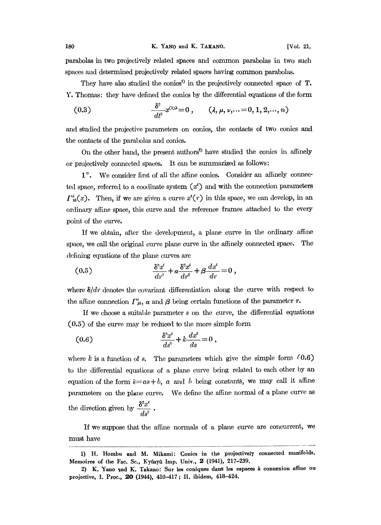parabolas in two projectively related spaces and common parabolas in two such spaces and determined projectively related spaces having common parabolas.

They have also studied the conics<sup>1)</sup> in the projectively connected space of T. Y. Thomas: they have defined the conics by the differential equations of the form

(0.3) 
$$
\frac{\delta^2}{dt^2} x^{(1)\lambda} = 0, \qquad (\lambda, \mu, \nu, \ldots = 0, 1, 2, \ldots, n)
$$

and studied the projective parameters on conics, the contacts of two conics and the contacts of the parabolas and conics.

On the other hand, the present authors<sup>2</sup> have studied the conics in affinely or projectively connected spaces. It can be summarized as follows:

1<sup>°</sup>. We consider first of all the affine conics. Consider an affinely connected space, referred to a coodinate system  $(x^i)$  and with the connection parameters  $\Gamma_{ik}^{i}(x)$ . Then, if we are given a curve  $x^{i}(r)$  in this space, we can develop, in an ordinary affine space, this curve and the reference frames attached to the every point of the curve.

If we obtain, after the development, a plane curve in the ordinary affine space, we call the original curve plane curve in the affinely connected space. The defining equations of the plane curves are

fining equations of the plane curves are  
\n(0.5) 
$$
\frac{\delta^3 x^i}{dr^3} + a \frac{\delta^2 x^i}{dr^2} + \beta \frac{dx^i}{dr} = 0,
$$

where  $\delta/dr$  denotes the covariant differentiation along the curve with respect to the affine connection  $\Gamma_{jk}^i$ ,  $\alpha$  and  $\beta$  being certain functions of the parameter r.

If we choose a suitable parameter  $s$  on the curve, the differential equations  $(0.5)$  of the curve may be reduced to the more simple form

(0.6) 
$$
\frac{\delta^3 x^i}{ds^3} + k \frac{dx^i}{ds} = 0,
$$

where  $k$  is a function of s. The parameters which give the simple form  $(0.6)$ to the differential equations of a plane curve being related to each other by an equation of the form  $\bar{s} = as + b$ , a and b being constants, we may call it affine parameters on the plane curve. We define the affine normal of a plane curve as the direction given by  $\frac{3a}{ds}$ 

If we suppose that the affine normals of a plane curve are concurrent, we must have

<sup>1)</sup> H. Hombu and M. Mikami: Conics in the projectively connected manifolds. Memoires of the Fac. Sc., Kyûsyû Imp. Univ., 2 (1941), 217-239.

<sup>2)</sup> K. Yano and K. Takano: Sur les coniques dans les espaces à connexion affine ou projective, I. Proc., 20 (1944), 410-417; II. ibidem, 418-424.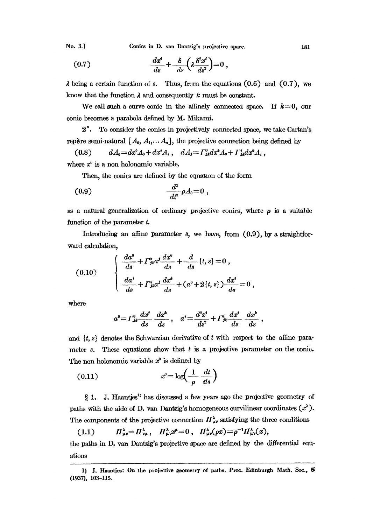No. 3.] Conics in D. van Dantzig's projective space. 181

$$
(0.7) \qquad \qquad \frac{dx^i}{ds} + \frac{\delta}{ds} \left(\lambda \frac{\delta^2 x^i}{ds^2}\right) = 0 \ ,
$$

 $\lambda$  being a certain function of s. Thus, from the equations (0.6) and (0.7), we know that the function  $\lambda$  and consequently k must be constant.

We call such a curve conic in the affinely connected space. If  $k=0$ , our conic becomes a parabola defined by M. Mikami.

2 . To consider the conics in projectively connected space, we take Cartan's repère semi-natural  $[A_0, A_1, \ldots, A_n]$ , the projective connection being defined by

$$
(0.8) \t dA_0 = dx^2 A_0 + dx^i A_i, \t dA_j = \Gamma_{jk}^0 dx^k A_0 + \Gamma_{jk}^i dx^k A_i,
$$

where  $x^{\theta}$  is a non holonomic variable.

Then, the conics are defined by the equation of the form

$$
(0.9) \qquad \qquad \frac{d^3}{dt^3}\rho A_0=0
$$

as a natural generalization of ordinary projective conics, where  $\rho$  is a suitable function of the parameter t.

Introducing an affine parameter  $s$ , we have, from  $(0.9)$ , by a straightforward calculation,

(0.10) 
$$
\begin{cases} \frac{da^0}{ds} + \Gamma_{jk}^{\circ} a^j \frac{dx^k}{ds} + \frac{d}{ds} \{t, s\} = 0, \\ \frac{da^i}{ds} + \Gamma_{jk}^{\circ} a^j \frac{dx^k}{ds} + (a^0 + 2\{t, s\}) \frac{dx^i}{ds} = 0, \end{cases}
$$

where

$$
a^0 = \Gamma_{jk}^0 \frac{dx^j}{ds} \frac{dx^k}{ds}, \quad a^i = \frac{d^2x^i}{ds^2} + \Gamma_{jk}^i \frac{dx^j}{ds} \frac{dx^k}{ds},
$$

and  $\{t, s\}$  denotes the Schwarzian derivative of t with respect to the affine parameter s. These equations show that  $t$  is a projective parameter on the conic. The non holonomic variable  $x^0$  is defined by

$$
(0.11) \t\t x9 = \log\left(\frac{1}{\rho} \frac{dt}{ds}\right)
$$

1. J. Haantjes<sup>1</sup> has discussed a few years ago the projective geometry of paths with the aide of D. van Dantzig's homogeneous curvilinear coordinates  $(x^{\lambda})$ . The components of the projective connection  $\prod_{\mu}^{\lambda}$  satisfying the three conditions

(1.1)  $\qquad I\!\!I_{\mu\nu}^{\lambda} = \Pi_{\nu\mu}^{\lambda}, \quad \Pi_{\mu\nu}^{\lambda} x^{\mu} = 0, \quad \Pi_{\mu\nu}^{\lambda}(\rho x) = \rho^{-1} \Pi_{\mu\nu}^{\lambda}(x),$ the paths in D. vaa Dantzig's projective space are defined by the differential euations

<sup>1)</sup> J. Haantjes: On the projective geometry of paths. Proc. Edinburgh Math. Soc., 5 (1937), 103-115.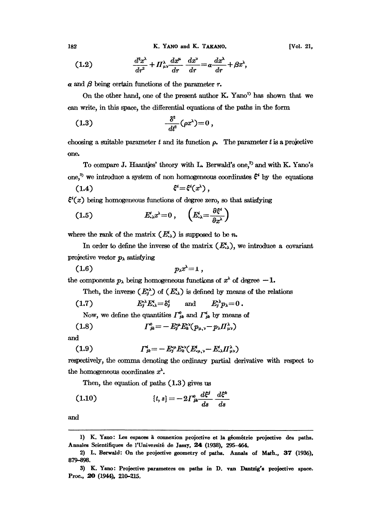182 K. YANO and K. TAKANO.

$$
(1.2) \qquad \qquad \frac{d^2x^{\lambda}}{dr^2} + \Pi^{\lambda}_{\mu\nu}\frac{dx^{\mu}}{dr} - \frac{dx^{\nu}}{dr} = a\frac{dx^{\lambda}}{dr} + \beta x^{\lambda},
$$

 $\alpha$  and  $\beta$  being certain functions of the parameter r.

On the other hand, one of the present author K. Yano<sup>1)</sup> has shown that we can write, in this space, the differential equations of the paths in the form

$$
(1.3) \qquad \qquad \frac{\delta^2}{dt^2}(\rho x^\lambda)=0\,,
$$

choosing a suitable parameter  $t$  and its function  $\rho$ . The parameter  $t$  is a projective one.

To compare J. Haantjes' theory with L. Berwald's one,<sup>2</sup> and with K. Yano's one,<sup>3</sup> we introduce a system of non homogeneous coordinates  $\xi^i$  by the equations

$$
(1.4) \qquad \qquad \xi^i = \xi^i(x^{\lambda}),
$$

 $\xi'(x)$  being homogeneous functions of degree zero, so that satisfying

$$
(1.5) \t\t\t E'_{\cdot\lambda} x^{\lambda} = 0 \t\t, \t\t\t \left(E'_{\cdot\lambda} = \frac{\partial \xi^{\lambda}}{\partial x^{\lambda}}\right)
$$

where the rank of the matrix  $(E_{\cdot\lambda}^i)$  is supposed to be n.

In order to define the inverse of the matrix  $(E_{\cdot\lambda}^i)$ , we introduce a covariant projective vector  $p_{\lambda}$  satisfying

$$
(1.6) \t\t p_{\lambda} x^{\lambda} = 1,
$$

the components  $p_{\lambda}$  being homogeneous functions of  $x^{\lambda}$  of degree  $-1$ .

Then, the inverse  $(E_j^{\lambda})$  of  $(E_{\lambda}^{\lambda})$  is defined by means of the relations

(1.7) 
$$
E_j^{\lambda} E_{\lambda}^{\lambda} = \delta_j^{\lambda} \quad \text{and} \quad E_j^{\lambda} p_{\lambda} = 0.
$$

Now, we define the quantities  $\Gamma_{jk}^{\theta}$  and  $\Gamma_{jk}^{i}$  by means of

(1.8) 
$$
\Gamma_{jk}^{0} = -E_{j}^{\mu}E_{k}^{\nu}(p_{\mu,\nu} - p_{\lambda} \Pi_{\mu\nu}^{\lambda})
$$

and

$$
(1.9) \t\t\t\t \t\t\t\t \t\t\t\t T^i_{jk} = -E^{\mu}_j E^{\nu}_k (E^i_{\mu,\nu} - E^i_{\nu\lambda} H^{\lambda}_{\mu\nu})
$$

0.9) ,= y.,-.,u) respectively, the comma denoting the ordinary partial derivative with respect to the homogeneous coordinates  $x^{\lambda}$ .

Then, the equation of paths (1.3) gives us

(1.10) 
$$
\{t,s\} = -2\Gamma_{jk}^0 \frac{d\xi^j}{ds} \frac{d\xi^k}{ds}
$$

and

<sup>1)</sup> K. Yano: Les espaces à connexion projective et la géométrie projective des paths. Annales Scientifiques de l'Université de Jassy, 24 (1938), 295-464.

<sup>2)</sup> L. Borwald: On the projective geometry of paths. Annals of Math., 37 (1936), 879-898.

<sup>3)</sup> K. Yano: Projective parameters on paths in D. van Dantzig's projective space. Proc., 20 (1944), 210-215.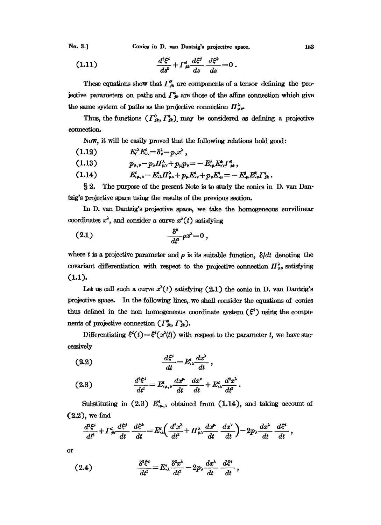No. 3.] Conics in D. van Dantzig's projective space. 183

(1.11) 
$$
\frac{d^2\xi^i}{ds^2} + \Gamma^i_{jk}\frac{d\xi^j}{ds} \frac{d\xi^k}{ds} = 0.
$$

These equations show that  $\Gamma_{jk}^{\sigma}$  are components of a tensor defining the projective parameters on paths and  $\Gamma_{jk}^{i}$  are those of the affine connection which give the same system of paths as the projective connection  $\prod_{\mu,\nu}^{\lambda}$ .

Thus, the functions  $(\Gamma_{jk}^{\circ}, \Gamma_{jk}^{\prime})$ , may be considered as defining a projective connection

Now, it will be easily proved that the following relations hold good:

$$
(1.12) \t E_i^* E_{\nu}^* = \delta_{\nu}^2 - p_{\nu} x^{\lambda},
$$

(1.13)  $p_{\mu,\nu} - p_{\lambda} \Pi^{\lambda}_{\mu\nu} + p_{\mu} p_{\nu} = - E^i_{,\mu} E^k_{,\nu} \Gamma^0_{jk}$ ,

(1.14) 
$$
E_{\mu,\nu}^i - E_{\nu\lambda}^i H_{\mu\nu}^{\lambda} + p_{\mu} E_{\nu}^i + p_{\nu} E_{\mu}^i = - E_{\nu\mu}^j E_{\nu}^k \Gamma_{jk}^i.
$$

§ 2. The purpose of the present Note is to study the conics in D. van Dantzig's projective space using the results of the previous section.

In D. van Dantzig's projective space, we take the homogeneous curvilinear coordinates  $x^{\lambda}$ , and consider a curve  $x^{\lambda}(t)$  satisfying

$$
\frac{\delta^s}{dt^s}\rho x^\lambda=0\,,
$$

where t is a projective parameter and  $\rho$  is its suitable function,  $\delta/dt$  denoting the covariant differentiation with respect to the projective connection  $\prod_{\mu\nu}^{\lambda}$  satisfying (1.1).

Let us call such a curve  $x^{\lambda}(t)$  satisfying  $(2.1)$  the conic in D. van Dantzig's projective space. In the following lines, we shall consider the equations of conics thus defined in the non homogeneous coordinate system  $(\xi^i)$  using the components of projective connection  $(\Gamma^0_{jk}, \Gamma^i_{jk})$ .

Differentiating  $\xi'(t)=\xi'(x'(t))$  with respect to the parameter t, we have successively

$$
(2.2) \t\t \t\t \t\t \frac{d\xi^i}{dt} = E^i_{\cdot \lambda} \frac{dx^{\lambda}}{dt},
$$

(2.3) 
$$
\frac{d^2 \xi^i}{dt^2} = E^i_{\mu,\nu} \frac{dx^{\mu}}{dt} \frac{dx^{\nu}}{dt} + E^i_{\nu} \frac{d^2 x^{\lambda}}{dt^2}.
$$

Substituting in (2.3)  $E^i_{\mu,\nu}$  obtained from (1.14), and taking account of (2.2), we find

$$
\frac{d^2\xi^i}{dt^2} + \Gamma^i_{jk}\frac{d\xi^j}{dt} - \frac{d\xi^k}{dt} = E^i_{ik}\left(\frac{d^2x^{\lambda}}{dt^2} + \Pi^{\lambda}_{\mu\nu}\frac{dx^{\mu}}{dt} - \frac{dx^{\nu}}{dt}\right) - 2p_{\lambda}\frac{dx^{\lambda}}{dt} - \frac{d\xi^i}{dt},
$$

or

(2.4) 
$$
\frac{\delta^2 \xi^i}{dt^2} = E^i \left( \frac{\delta^2 x^{\lambda}}{dt^2} - 2p \left( \frac{dx^{\lambda}}{dt} \right) \frac{d\xi^i}{dt},
$$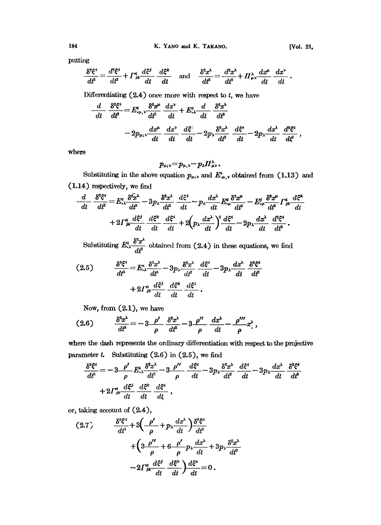putting

$$
\frac{\delta^2 \xi^i}{dt^2} = \frac{d^2 \xi^i}{dt^2} + \Gamma^i_{jk} \frac{d\xi^j}{dt} \frac{d\xi^k}{dt} \quad \text{and} \quad \frac{\delta^2 x^{\lambda}}{dt^2} = \frac{d^2 x^{\lambda}}{dt^2} + \Gamma^{\lambda}_{\mu\nu} \frac{dx^{\mu}}{dt} \frac{dx^{\nu}}{dt}.
$$

Differentiating  $(2.4)$  once more with respect to  $t$ , we have

$$
\frac{d}{dt} \frac{\delta^2 \xi^2}{dt^2} = E^i_{\cdot \mu, \nu} \frac{\delta^2 x^{\mu}}{dt^2} \frac{dx^{\nu}}{dt} + E^i_{\cdot \lambda} \frac{d}{dt} \frac{\delta^2 x^{\lambda}}{dt^2}
$$

$$
-2p_{\mu; \nu} \frac{dx^{\mu}}{dt} \frac{dx^{\nu}}{dt} \frac{d\xi^i}{dt} - 2p_{\lambda} \frac{\delta^2 x^{\lambda}}{dt^2} \frac{d\xi^i}{dt} - 2p_{\lambda} \frac{dx^{\lambda}}{dt} \frac{d^2\xi^i}{dt^2} ,
$$

where

$$
p_{\mu;\nu} = p_{\mu,\nu} - p_{\lambda} H^{\lambda}_{\mu\nu}.
$$

Substituting in the above equation  $p_{\mu;\nu}$  and  $E^i_{,\mu,\nu}$  obtained from (1.13) and (1.14) respectively, we find

.14) respectively, we find  
\n
$$
\frac{d}{dt} \frac{\delta^z \xi^z}{dt^z} = E^i_{xx} \frac{\delta^z x^x}{dt^s} - 3p_x \frac{\delta^z x^x}{dt^z} \frac{d\xi^z}{dt} - p_x \frac{dx^x}{dt} E^i_{xx} \frac{\delta^z x^{\mu}}{dt^z} - E^i_{xx} \frac{\delta^z x^{\mu}}{dt^z} \Gamma^i_{jk} \frac{d\xi^k}{dt} + 2\Gamma^i_{jk} \frac{d\xi^i}{dt} \frac{d\xi^k}{dt} + 2\left(p_x \frac{dx^x}{dt}\right)^2 \frac{d\xi^z}{dt} - 2p_x \frac{dx^x}{dt} \frac{d^2\xi^z}{dt^2}.
$$

Substituting  $E_{\cdot\lambda}^i \frac{\delta^2 x^{\lambda}}{dt^2}$  obtained from  $(2.4)$  in these equations, we find

$$
(2.5) \qquad \frac{\delta^3 \xi^4}{dt^3} = E^*_{\nu \lambda} \frac{\delta^3 x^{\lambda}}{dt^3} - 3 p_{\lambda} \frac{\delta^2 x^{\lambda}}{dt^2} \frac{d\xi^4}{dt} - 3 p_{\lambda} \frac{dx^{\lambda}}{dt} \frac{\delta^2 \xi^4}{dt^2} + 2 \Gamma^0_{jk} \frac{d\xi^j}{dt} \frac{d\xi^k}{dt} \frac{d\xi^i}{dt}.
$$

Now, from (2.1), we have

(2.6) 
$$
\frac{\delta^3 x^{\lambda}}{dt^3} = -3 \frac{\rho'}{\rho} \frac{\delta^2 x^{\lambda}}{dt^2} - 3 \frac{\rho''}{\rho} \frac{dx^{\lambda}}{dt} - \frac{\rho'''}{\rho} x^{\lambda},
$$

where the dash represents the ordinary differentiation with respect to the projective parameter  $t$ . Substituting  $(2.6)$  in  $(2.5)$ , we find

$$
\frac{\delta^2 \xi^i}{dt^3} = -3 \frac{\rho'}{\rho} E^i_{,\lambda} \frac{\delta^2 x^{\lambda}}{dt^2} - 3 \frac{\rho''}{\rho} \frac{d\xi^i}{dt} - 3p_{\lambda} \frac{\delta^2 x^{\lambda}}{dt^2} \frac{d\xi^i}{dt} - 3p_{\lambda} \frac{dx^{\lambda}}{dt} \frac{\delta^2 \xi^i}{dt^2} + 2\Gamma^0_{jk} \frac{d\xi^j}{dt} \frac{d\xi^k}{dt} \frac{d\xi^i}{dt},
$$

or, taking account of (2.4),

$$
(2.7) \qquad \frac{\delta^s \xi^i}{dt^s} + 3\left(-\frac{\rho'}{\rho} + p_\lambda \frac{dx^\lambda}{dt}\right) \frac{\delta^s \xi^i}{dt^s} + \left(3\frac{\rho''}{\rho} + 6\frac{\rho'}{\rho} p_\lambda \frac{dx^\lambda}{dt} + 3p_\lambda \frac{\delta^s x^\lambda}{dt^s} - 2\Gamma^0_{jk} \frac{d\xi^j}{dt} \frac{d\xi^k}{dt} \right) \frac{d\xi^i}{dt} = 0.
$$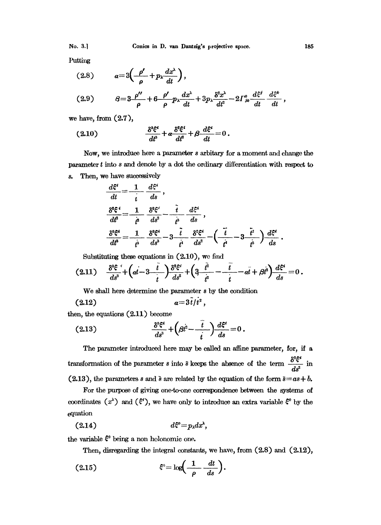Putting

$$
(2.8) \t a=3\left(-\frac{\rho'}{\rho}+p_{\lambda}\frac{dx^{\lambda}}{dt}\right),\t \frac{d^{\lambda}}{dt^{\lambda}}=\frac{8^2\pi^{\lambda}}{d\lambda} \t d\theta
$$

$$
(2.9) \qquad \qquad \beta = 3 \frac{\rho^{\prime\prime}}{\rho} + 6 \frac{\rho^{\prime}}{\rho} p_{\lambda} \frac{dx^{\lambda}}{dt} + 3 p_{\lambda} \frac{\delta^2 x^{\lambda}}{dt^2} - 2 \Gamma^0_{jk} \frac{d\xi^j}{dt} \frac{d\xi^k}{dt},
$$

we have, from (2.7),

$$
(2.10) \qquad \qquad \frac{\delta^s \xi^i}{dt^s} + a \frac{\delta^s \xi^i}{dt^s} + \beta \frac{d\xi^i}{dt} = 0 \, .
$$

Now, we introduce here a parameter s arbitary for a moment and change the parameter  $t$  into  $s$  and denote by a dot the ordinary differentiation with respect to s. Then, we have successively

$$
\frac{d\xi^{i}}{dt} = \frac{1}{t} \frac{d\xi^{i}}{ds},
$$
\n
$$
\frac{\delta^{s}\xi^{i}}{dt^{s}} = \frac{1}{t^{s}} \frac{\delta^{s}\xi^{i}}{ds^{s}} - \frac{i}{t^{s}} \frac{d\xi^{i}}{ds},
$$
\n
$$
\frac{\delta^{s}\xi^{i}}{dt^{s}} = \frac{1}{t^{s}} \frac{\delta^{s}\xi^{i}}{ds^{s}} - 3 \frac{i}{t^{i}} \frac{\delta^{s}\xi^{i}}{ds^{s}} - \left(\frac{i}{t^{i}} - 3 \frac{i}{t^{i}}\right) \frac{d\xi^{i}}{ds}.
$$

Substituting these equations in  $(2.10)$ , we find

$$
(2.11) \quad \frac{\delta^3 \xi^4}{ds^3} + \left(at - 3\frac{t}{t}\right) \frac{\delta^2 \xi^i}{ds^2} + \left(3\frac{t^2}{t^2} - \frac{t}{t} - at + \beta t^2\right) \frac{d\xi^2}{ds} = 0.
$$

We shall here determine the parameter <sup>s</sup> by the condition

$$
(2.12) \t\t\t a=3\dot{t}/t^2,
$$

then, the equations  $(2.11)$  become

$$
(2.13) \qquad \qquad \frac{\delta^s \xi^i}{ds^s} + \left(\beta t^2 - \frac{t}{t}\right) \frac{d\xi^i}{ds} = 0
$$

The parameter introduced here may be called an affine parameter, for, if a transformation of the parameter s into  $\bar{s}$  keeps the absence of the term  $\frac{c}{ds^2}$  in (2.13), the parameters s and s are related by the equation of the form  $\bar{s}=as+b$ .

For the purpose of giving one-to-one correspondence between the systems of coordinates  $(x^{\lambda})$  and  $(\xi^i)$ , we have only to introduce an extra variable  $\xi^0$  by the equation

$$
(2.14) \t d\xi^{\circ} = p_{\lambda} dx^{\lambda},
$$

the variable  $\xi^0$  being a non holonomic one.

Then, disregarding the integral constants, we have, from  $(2.8)$  and  $(2.12)$ ,

$$
\mathcal{E}^{\circ} = \log\biggl(\frac{1}{\rho} - \frac{dt}{ds}\biggr).
$$

تمم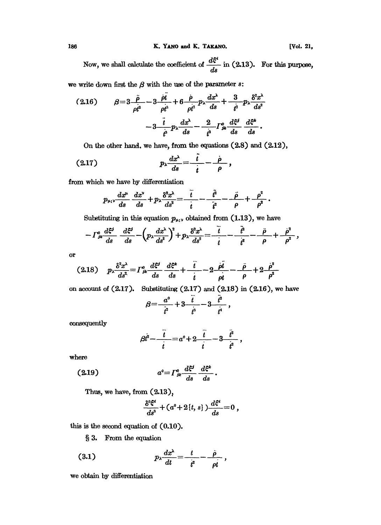186 K. YANO and K. TAKANO. [Vol. 21,

Now, we shall calculate the coefficient of  $\frac{d\xi^i}{ds}$  in (2.13). For this purpose,

we write down first the  $\beta$  with the use of the parameter  $s$ :

$$
(2.16) \qquad \beta=3\frac{\ddot{\rho}}{\rho t^3}-3\frac{\dot{\rho}t}{\rho t^3}+6\frac{\dot{\rho}}{\rho t^2}p_{\lambda}\frac{dx^{\lambda}}{ds}+\frac{3}{t^2}p_{\lambda}\frac{\delta^2 x^{\lambda}}{ds^2} \\ -3\frac{\ddot{t}}{\dot{\rho}}p_{\lambda}\frac{dx^{\lambda}}{ds}-\frac{2}{t^3}\Gamma_{jk}^0\frac{d\xi^j}{ds}\frac{d\xi^k}{ds}.
$$

 $\overline{\phantom{a}}$ 

On the other hand. we have, from the equations (2.8) and (2.12),

$$
(2.17) \t\t\t\t\t p_{\lambda} \frac{dx^{\lambda}}{ds} = \frac{\dot{t}}{\dot{t}} - \frac{\dot{\rho}}{\rho},
$$

from which we have by differentiation

$$
p_{\mu;\nu}\frac{dx^{\mu}}{ds}\frac{dx^{\nu}}{ds}+p_{\lambda}\frac{\delta^2 x^{\lambda}}{ds^2}=\frac{\ddot{t}}{\dot{t}}-\frac{\dot{t}^2}{\dot{t}^2}-\frac{\ddot{\rho}}{\rho}+\frac{\rho^2}{\rho^2}.
$$

Substituting in this equation  $p_{\mu;\nu}$  obtained from (1.13), we have

$$
- \Gamma^0_{jk} \frac{d\xi^j}{ds} - \frac{d\xi^j}{ds} - \left(p_\lambda \frac{dx^\lambda}{ds^2}\right)^2 + p_\lambda \frac{\delta^2 x^\lambda}{ds^2} = \frac{\ddot{\ddot{\iota}}}{\dot{\iota}} - \frac{\ddot{\dot{\iota}}}{\dot{\iota}} - \frac{\ddot{\rho}}{\rho} - \frac{\ddot{\rho}}{\rho} + \frac{\dot{\rho}^2}{\rho^2},
$$

or

$$
(2.18) \quad p_{\lambda} \frac{\delta^2 x^{\lambda}}{ds^2} = \Gamma^0_{jk} \frac{d\xi^j}{ds} \frac{d\xi^k}{ds} + \frac{\ddot{i}}{\dot{i}} - 2 \frac{\dot{\rho} \dot{i}}{\rho \dot{i}} - \frac{\ddot{\rho}}{\rho} + 2 \frac{\dot{\rho}^2}{\rho^2}
$$

on account of (2.17). Substituting (2.17) and (2.18) in (2.16), we have<br>  $\beta = \frac{a^0}{\dot{t}^2} + 3 \frac{\ddot{t}^2}{\dot{t}^3} - 3 \frac{\ddot{t}^4}{\dot{t}^4}$ ,

$$
\beta = \frac{a^0}{\dot{t}^2} + 3\frac{\ddot{t}}{t^3} - 3\frac{\ddot{t}^2}{t^4},
$$

consequently

$$
\beta t^2 - \frac{t}{t} = a^0 + 2 - \frac{t}{t} - 3 - \frac{t^2}{t^2},
$$

where

$$
(2.19) \t a0=\Gamma_{jk}^0 \frac{d\xi^j}{ds} \frac{d\xi^k}{ds}.
$$

Thus, we have, from  $(2.13)$ ,

$$
\frac{\delta^3 \xi^i}{ds^3} + (a^0 + 2\{t, s\}) \frac{d\xi^i}{ds} = 0,
$$

this is the second equation of (0.10).

3. From the equation

$$
(3.1) \t\t\t\t p_{\lambda} \frac{dx^{\lambda}}{dt} = \frac{t}{t^2} - \frac{\rho}{\rho t},
$$

we obtain by differentiation